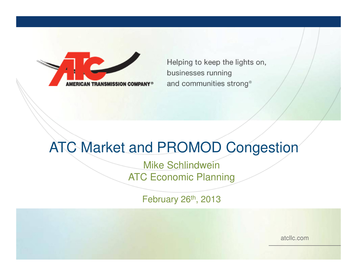

Helping to keep the lights on, businesses running and communities strong®

### ATC Market and PROMOD Congestion

Mike SchlindweinATC Economic Planning

February 26<sup>th</sup>, 2013

atcllc.com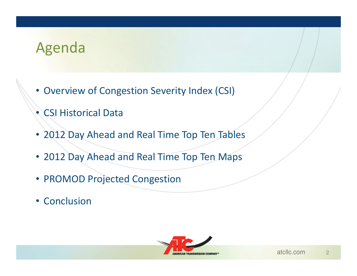### Agenda

- Overview of Congestion Severity Index (CSI)
- CSI Historical Data
- 2012 Day Ahead and Real Time Top Ten Tables
- 2012 Day Ahead and Real Time Top Ten Maps
- PROMOD Projected Congestion
- Conclusion

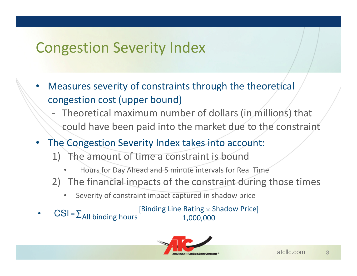## Congestion Severity Index

- • Measures severity of constraints through the theoretical congestion cost (upper bound)
	- Theoretical maximum number of dollars (in millions) that could have been paid into the market due to the constraint
- The Congestion Severity Index takes into account:
	- 1) The amount of time a constraint is bound
		- •Hours for Day Ahead and 5 minute intervals for Real Time
	- 2) The financial impacts of the constraint during those times
		- •Severity of constraint impact captured in shadow price
- • CSI = $=\sum$  $\Sigma$ All binding hours  $\frac{[Binding Line Rating]}{1,000,C}$ [Binding Line Rating  $\times$  Shadow Price] 1,000,000

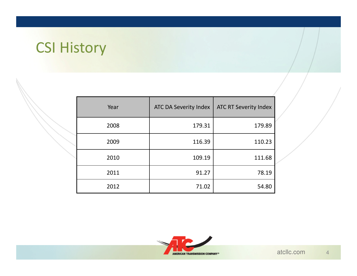## CSI History

| Year | <b>ATC DA Severity Index</b> | <b>ATC RT Severity Index</b> |
|------|------------------------------|------------------------------|
| 2008 | 179.31                       | 179.89                       |
| 2009 | 116.39                       | 110.23                       |
| 2010 | 109.19                       | 111.68                       |
| 2011 | 91.27                        | 78.19                        |
| 2012 | 71.02                        | 54.80                        |

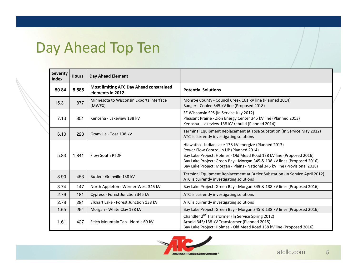## Day Ahead Top Ten

| <b>Severity</b><br><b>Index</b> | <b>Hours</b> | <b>Day Ahead Element</b>                                           |                                                                                                                                                                                                                                                                                                                                    |
|---------------------------------|--------------|--------------------------------------------------------------------|------------------------------------------------------------------------------------------------------------------------------------------------------------------------------------------------------------------------------------------------------------------------------------------------------------------------------------|
| 50.84                           | 5,585        | <b>Most limiting ATC Day Ahead constrained</b><br>elements in 2012 | <b>Potential Solutions</b>                                                                                                                                                                                                                                                                                                         |
| 15.31                           | 877          | Minnesota to Wisconsin Exports Interface<br>(MWEX)                 | Monroe County - Council Creek 161 kV line (Planned 2014)<br>Badger - Coulee 345 kV line (Proposed 2018)                                                                                                                                                                                                                            |
| 7.13                            | 851          | Kenosha - Lakeview 138 kV                                          | SE Wisconsin SPS (In Service July 2012)<br>Pleasant Prairie - Zion Energy Center 345 kV line (Planned 2013)<br>Kenosha - Lakeview 138 kV rebuild (Planned 2014)                                                                                                                                                                    |
| 6.10                            | 223          | Granville - Tosa 138 kV                                            | Terminal Equipment Replacement at Tosa Substation (In Service May 2012)<br>ATC is currently investigating solutions                                                                                                                                                                                                                |
| 5.83                            | 1,841        | <b>Flow South PTDF</b>                                             | Hiawatha - Indian Lake 138 kV energize (Planned 2013)<br>Power Flow Control in UP (Planned 2014)<br>Bay Lake Project: Holmes - Old Mead Road 138 kV line (Proposed 2016)<br>Bay Lake Project: Green Bay - Morgan 345 & 138 kV lines (Proposed 2016)<br>Bay Lake Project: Morgan - Plains - National 345 kV line (Provisional 2018) |
| 3.90                            | 453          | Butler - Granville 138 kV                                          | Terminal Equipment Replacement at Butler Substation (In Service April 2012)<br>ATC is currently investigating solutions                                                                                                                                                                                                            |
| 3.74                            | 147          | North Appleton - Werner West 345 kV                                | Bay Lake Project: Green Bay - Morgan 345 & 138 kV lines (Proposed 2016)                                                                                                                                                                                                                                                            |
| 2.79                            | 181          | Cypress - Forest Junction 345 kV                                   | ATC is currently investigating solutions                                                                                                                                                                                                                                                                                           |
| 2.78                            | 291          | Elkhart Lake - Forest Junction 138 kV                              | ATC is currently investigating solutions                                                                                                                                                                                                                                                                                           |
| 1.65                            | 294          | Morgan - White Clay 138 kV                                         | Bay Lake Project: Green Bay - Morgan 345 & 138 kV lines (Proposed 2016)                                                                                                                                                                                                                                                            |
| 1.61                            | 427          | Felch Mountain Tap - Nordic 69 kV                                  | Chandler 2 <sup>nd</sup> Transformer (In Service Spring 2012)<br>Arnold 345/138 kV Transformer (Planned 2015)<br>Bay Lake Project: Holmes - Old Mead Road 138 kV line (Proposed 2016)                                                                                                                                              |



5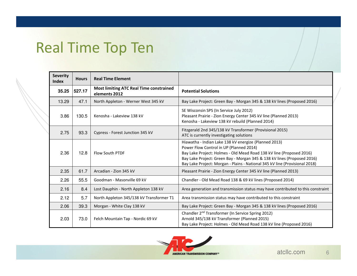## Real Time Top Ten

| <b>Severity</b><br><b>Index</b> | <b>Hours</b> | <b>Real Time Element</b>                                        |                                                                                                                                                                                                                                                                                                                                    |
|---------------------------------|--------------|-----------------------------------------------------------------|------------------------------------------------------------------------------------------------------------------------------------------------------------------------------------------------------------------------------------------------------------------------------------------------------------------------------------|
| 35.25                           | 527.17       | <b>Most limiting ATC Real Time constrained</b><br>elements 2012 | <b>Potential Solutions</b>                                                                                                                                                                                                                                                                                                         |
| 13.29                           | 47.1         | North Appleton - Werner West 345 kV                             | Bay Lake Project: Green Bay - Morgan 345 & 138 kV lines (Proposed 2016)                                                                                                                                                                                                                                                            |
| 3.86                            | 130.5        | Kenosha - Lakeview 138 kV                                       | SE Wisconsin SPS (In Service July 2012)<br>Pleasant Prairie - Zion Energy Center 345 kV line (Planned 2013)<br>Kenosha - Lakeview 138 kV rebuild (Planned 2014)                                                                                                                                                                    |
| 2.75                            | 93.3         | Cypress - Forest Junction 345 kV                                | Fitzgerald 2nd 345/138 kV Transformer (Provisional 2015)<br>ATC is currently investigating solutions                                                                                                                                                                                                                               |
| 2.36                            | 12.8         | <b>Flow South PTDF</b>                                          | Hiawatha - Indian Lake 138 kV energize (Planned 2013)<br>Power Flow Control in UP (Planned 2014)<br>Bay Lake Project: Holmes - Old Mead Road 138 kV line (Proposed 2016)<br>Bay Lake Project: Green Bay - Morgan 345 & 138 kV lines (Proposed 2016)<br>Bay Lake Project: Morgan - Plains - National 345 kV line (Provisional 2018) |
| 2.35                            | 61.7         | Arcadian - Zion 345 kV                                          | Pleasant Prairie - Zion Energy Center 345 kV line (Planned 2013)                                                                                                                                                                                                                                                                   |
| 2.26                            | 55.5         | Goodman - Masonville 69 kV                                      | Chandler - Old Mead Road 138 & 69 kV lines (Proposed 2014)                                                                                                                                                                                                                                                                         |
| 2.16                            | 8.4          | Lost Dauphin - North Appleton 138 kV                            | Area generation and transmission status may have contributed to this constraint                                                                                                                                                                                                                                                    |
| 2.12                            | 5.7          | North Appleton 345/138 kV Transformer T1                        | Area transmission status may have contributed to this constraint                                                                                                                                                                                                                                                                   |
| 2.06                            | 39.3         | Morgan - White Clay 138 kV                                      | Bay Lake Project: Green Bay - Morgan 345 & 138 kV lines (Proposed 2016)                                                                                                                                                                                                                                                            |
| 2.03                            | 73.0         | Felch Mountain Tap - Nordic 69 kV                               | Chandler 2 <sup>nd</sup> Transformer (In Service Spring 2012)<br>Arnold 345/138 kV Transformer (Planned 2015)<br>Bay Lake Project: Holmes - Old Mead Road 138 kV line (Proposed 2016)                                                                                                                                              |



6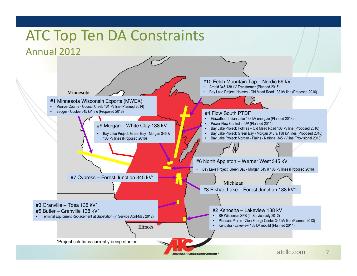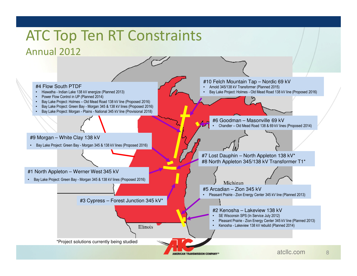# ATC Top Ten RT Constraints

### Annual 2012

#4 Flow South PTDF

- Hiawatha Indian Lake 138 kV energize (Planned 2013) •
- •Power Flow Control in UP (Planned 2014)
- •Bay Lake Project: Holmes – Old Mead Road 138 kV line (Proposed 2016)
- •Bay Lake Project: Green Bay - Morgan 345 & 138 kV lines (Proposed 2016)
- •Bay Lake Project: Morgan - Plains - National 345 kV line (Provisional 2018)

#9 Morgan – White Clay 138 kV

• Bay Lake Project: Green Bay - Morgan 345 & 138 kV lines (Proposed 2016)

#1 North Appleton – Werner West 345 kV

• Bay Lake Project: Green Bay - Morgan 345 & 138 kV lines (Proposed 2016)

#3 Cypress – Forest Junction 345 kV\*

**Illinois** 

#### #10 Felch Mountain Tap – Nordic 69 kV

- Arnold 345/138 kV Transformer (Planned 2015)
- •Bay Lake Project: Holmes - Old Mead Road 138 kV line (Proposed 2016)

#6 Goodman – Masonville 69 kV Chandler – Old Mead Road 138 & 69 kV lines (Proposed 2014) •

#7 Lost Dauphin – North Appleton 138 kV\*#8 North Appleton 345/138 kV Transformer T1\*

Michigan #5 Arcadian – Zion 345 kV

MERICAN TRANSMISSION COMPANY®

• Pleasant Prairie - Zion Energy Center 345 kV line (Planned 2013)

#### #2 Kenosha – Lakeview 138 kV

- SE Wisconsin SPS (In Service July 2012) •
- •Pleasant Prairie - Zion Energy Center 345 kV line (Planned 2013)
- •Kenosha - Lakeview 138 kV rebuild (Planned 2014)

\*Project solutions currently being studied

8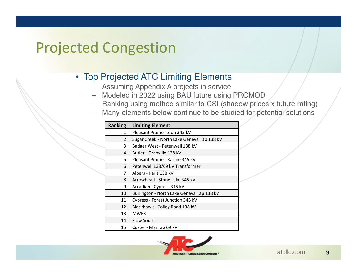### Projected Congestion

### • Top Projected ATC Limiting Elements

- Assuming Appendix A projects in service
- Modeled in 2022 using BAU future using PROMOD
- Ranking using method similar to CSI (shadow prices x future rating)
- Many elements below continue to be studied for potential solutions

| <b>Ranking</b> | <b>Limiting Element</b>                    |
|----------------|--------------------------------------------|
| 1              | Pleasant Prairie - Zion 345 kV             |
| $\overline{2}$ | Sugar Creek - North Lake Geneva Tap 138 kV |
| 3              | Badger West - Petenwell 138 kV             |
| 4              | Butler - Granville 138 kV                  |
| 5.             | Pleasant Prairie - Racine 345 kV           |
| 6              | Petenwell 138/69 kV Transformer            |
| 7              | Albers - Paris 138 kV                      |
| 8              | Arrowhead - Stone Lake 345 kV              |
| 9              | Arcadian - Cypress 345 kV                  |
| 10             | Burlington - North Lake Geneva Tap 138 kV  |
| 11             | Cypress - Forest Junction 345 kV           |
| 12             | Blackhawk - Colley Road 138 kV             |
| 13             | <b>MWEX</b>                                |
| 14             | Flow South                                 |
| 15             | Custer - Manrap 69 kV                      |

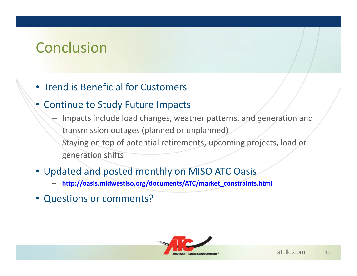### Conclusion

### • Trend is Beneficial for Customers

#### •Continue to Study Future Impacts

- Impacts include load changes, weather patterns, and generation and transmission outages (planned or unplanned)
- Staying on top of potential retirements, upcoming projects, load or generation shifts
- Updated and posted monthly on MISO ATC Oasis
	- http://oasis.midwestiso.org/documents/ATC/market\_constraints.html
- Questions or comments?